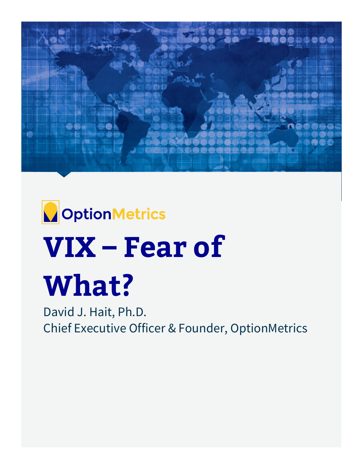



# **VIX – Fear of What?**

David J. Hait, Ph.D. Chief Executive Officer & Founder, OptionMetrics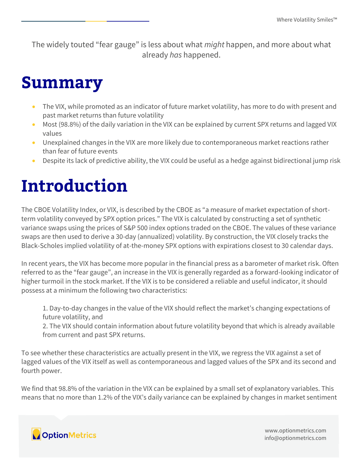The widely touted "fear gauge" is less about what *might* happen, and more about what already *has* happened.

#### **Summary**

- The VIX, while promoted as an indicator of future market volatility, has more to do with present and past market returns than future volatility
- Most (98.8%) of the daily variation in the VIX can be explained by current SPX returns and lagged VIX values
- Unexplained changes in the VIX are more likely due to contemporaneous market reactions rather than fear of future events
- Despite its lack of predictive ability, the VIX could be useful as a hedge against bidirectional jump risk

# **Introduction**

The CBOE Volatility Index, or VIX, is described by the CBOE as "a measure of market expectation of shortterm volatility conveyed by SPX option prices." The VIX is calculated by constructing a set of synthetic variance swaps using the prices of S&P 500 index options traded on the CBOE. The values of these variance swaps are then used to derive a 30-day (annualized) volatility. By construction, the VIX closely tracks the Black-Scholes implied volatility of at-the-money SPX options with expirations closest to 30 calendar days.

In recent years, the VIX has become more popular in the financial press as a barometer of market risk. Often referred to as the "fear gauge", an increase in the VIX is generally regarded as a forward-looking indicator of higher turmoil in the stock market. If the VIX is to be considered a reliable and useful indicator, it should possess at a minimum the following two characteristics:

1. Day-to-day changes in the value of the VIX should reflect the market's changing expectations of future volatility, and

2. The VIX should contain information about future volatility beyond that which is already available from current and past SPX returns.

To see whether these characteristics are actually present in the VIX, we regress the VIX against a set of lagged values of the VIX itself as well as contemporaneous and lagged values of the SPX and its second and fourth power.

We find that 98.8% of the variation in the VIX can be explained by a small set of explanatory variables. This means that no more than 1.2% of the VIX's daily variance can be explained by changes in market sentiment

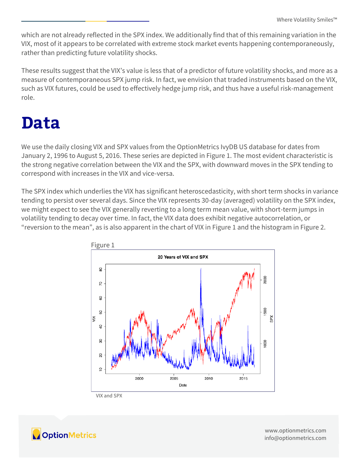which are not already reflected in the SPX index. We additionally find that of this remaining variation in the VIX, most of it appears to be correlated with extreme stock market events happening contemporaneously, rather than predicting future volatility shocks.

These results suggest that the VIX's value is less that of a predictor of future volatility shocks, and more as a measure of contemporaneous SPX jump risk. In fact, we envision that traded instruments based on the VIX, such as VIX futures, could be used to effectively hedge jump risk, and thus have a useful risk-management role.

### **Data**

We use the daily closing VIX and SPX values from the OptionMetrics IvyDB US database for dates from January 2, 1996 to August 5, 2016. These series are depicted in Figure 1. The most evident characteristic is the strong negative correlation between the VIX and the SPX, with downward moves in the SPX tending to correspond with increases in the VIX and vice-versa.

The SPX index which underlies the VIX has significant heteroscedasticity, with short term shocks in variance tending to persist over several days. Since the VIX represents 30-day (averaged) volatility on the SPX index, we might expect to see the VIX generally reverting to a long term mean value, with short-term jumps in volatility tending to decay over time. In fact, the VIX data does exhibit negative autocorrelation, or "reversion to the mean", as is also apparent in the chart of VIX in Figure 1 and the histogram in Figure 2.



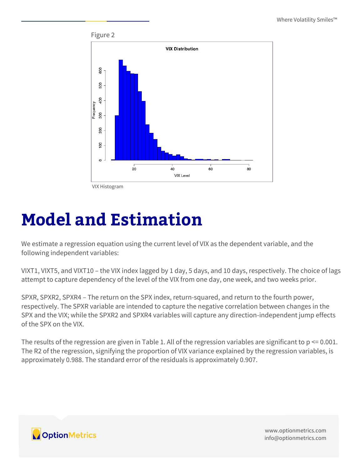

VIX Histogram

## **Model and Estimation**

We estimate a regression equation using the current level of VIX as the dependent variable, and the following independent variables:

VIXT1, VIXT5, and VIXT10 – the VIX index lagged by 1 day, 5 days, and 10 days, respectively. The choice of lags attempt to capture dependency of the level of the VIX from one day, one week, and two weeks prior.

SPXR, SPXR2, SPXR4 – The return on the SPX index, return-squared, and return to the fourth power, respectively. The SPXR variable are intended to capture the negative correlation between changes in the SPX and the VIX; while the SPXR2 and SPXR4 variables will capture any direction-independent jump effects of the SPX on the VIX.

The results of the regression are given in Table 1. All of the regression variables are significant to  $p \le 0.001$ . The R2 of the regression, signifying the proportion of VIX variance explained by the regression variables, is approximately 0.988. The standard error of the residuals is approximately 0.907.

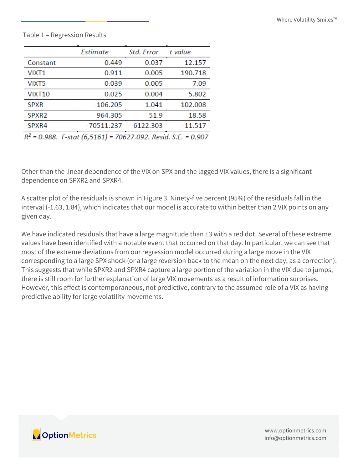#### Table 1 – Regression Results

|                | Estimate                                                                  | Std. Error           | t value    |
|----------------|---------------------------------------------------------------------------|----------------------|------------|
| Constant       | 0.449                                                                     | 0.037                | 12.157     |
| VIXT1          | 0.911                                                                     | 0.005                | 190.718    |
| VIXT5          | 0.039                                                                     | 0.005                | 7.09       |
| <b>VIXT10</b>  | 0.025                                                                     | 0.004                | 5.802      |
| <b>SPXR</b>    | $-106.205$                                                                | 1.041                | $-102.008$ |
| SPXR2          | 964.305                                                                   | 51.9                 | 18.58      |
| SPXR4          | -70511.237                                                                | 6122.303             | $-11.517$  |
| $n^2$<br>0.000 | $F \rightarrow F \rightarrow F \rightarrow F \rightarrow F \rightarrow F$ | zochaz odalo u Ulcri | 0.007      |

R<sup>2</sup> = 0.988. F-stat (6,5161) = 70627.092. Resid. S.E. = 0.907

Other than the linear dependence of the VIX on SPX and the lagged VIX values, there is a significant dependence on SPXR2 and SPXR4.

A scatter plot of the residuals is shown in Figure 3. Ninety-five percent (95%) of the residuals fall in the interval (-1.63, 1.84), which indicates that our model is accurate to within better than 2 VIX points on any given day.

We have indicated residuals that have a large magnitude than  $\pm 3$  with a red dot. Several of these extreme values have been identified with a notable event that occurred on that day. In particular, we can see that most of the extreme deviations from our regression model occurred during a large move in the VIX corresponding to a large SPX shock (or a large reversion back to the mean on the next day, as a correction). This suggests that while SPXR2 and SPXR4 capture a large portion of the variation in the VIX due to jumps, there is still room for further explanation of large VIX movements as a result of information surprises. However, this effect is contemporaneous, not predictive, contrary to the assumed role of a VIX as having predictive ability for large volatility movements.